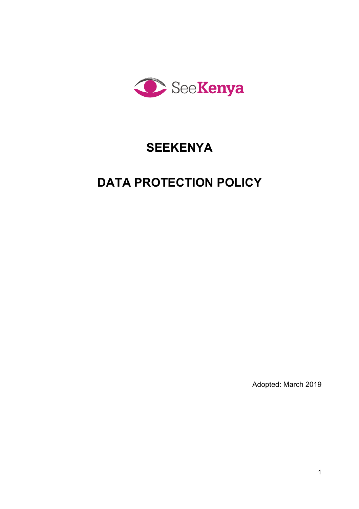

# **SEEKENYA**

# **DATA PROTECTION POLICY**

Adopted: March 2019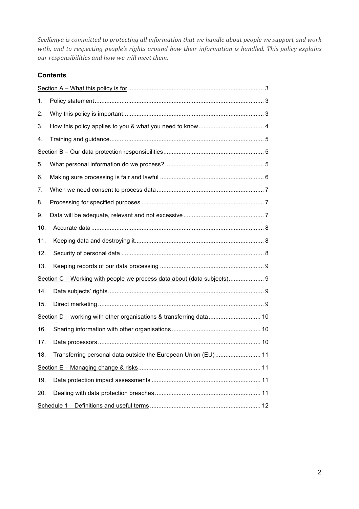SeeKenya is committed to protecting all information that we handle about people we support and work with, and to respecting people's rights around how their information is handled. This policy explains our responsibilities and how we will meet them.

# **Contents**

| 1.                                                                      |                                                               |
|-------------------------------------------------------------------------|---------------------------------------------------------------|
| 2.                                                                      |                                                               |
| 3.                                                                      |                                                               |
| 4.                                                                      |                                                               |
|                                                                         |                                                               |
| 5.                                                                      |                                                               |
| 6.                                                                      |                                                               |
| 7.                                                                      |                                                               |
| 8.                                                                      |                                                               |
| 9.                                                                      |                                                               |
| 10.                                                                     |                                                               |
| 11.                                                                     |                                                               |
| 12.                                                                     |                                                               |
| 13.                                                                     |                                                               |
| Section C – Working with people we process data about (data subjects) 9 |                                                               |
| 14.                                                                     |                                                               |
| 15.                                                                     |                                                               |
|                                                                         |                                                               |
| 16.                                                                     |                                                               |
| 17.                                                                     |                                                               |
| 18.                                                                     | Transferring personal data outside the European Union (EU) 11 |
|                                                                         |                                                               |
| 19.                                                                     |                                                               |
| 20.                                                                     |                                                               |
|                                                                         |                                                               |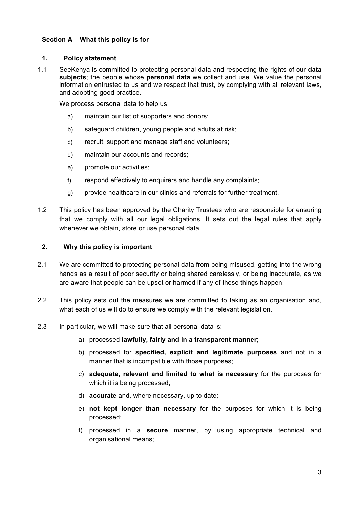# **Section A – What this policy is for**

#### **1. Policy statement**

1.1 SeeKenya is committed to protecting personal data and respecting the rights of our **data subjects**; the people whose **personal data** we collect and use. We value the personal information entrusted to us and we respect that trust, by complying with all relevant laws, and adopting good practice.

We process personal data to help us:

- a) maintain our list of supporters and donors;
- b) safeguard children, young people and adults at risk;
- c) recruit, support and manage staff and volunteers;
- d) maintain our accounts and records;
- e) promote our activities;
- f) respond effectively to enquirers and handle any complaints;
- g) provide healthcare in our clinics and referrals for further treatment.
- 1.2 This policy has been approved by the Charity Trustees who are responsible for ensuring that we comply with all our legal obligations. It sets out the legal rules that apply whenever we obtain, store or use personal data.

#### **2. Why this policy is important**

- 2.1 We are committed to protecting personal data from being misused, getting into the wrong hands as a result of poor security or being shared carelessly, or being inaccurate, as we are aware that people can be upset or harmed if any of these things happen.
- 2.2 This policy sets out the measures we are committed to taking as an organisation and, what each of us will do to ensure we comply with the relevant legislation.
- 2.3 In particular, we will make sure that all personal data is:
	- a) processed **lawfully, fairly and in a transparent manner**;
	- b) processed for **specified, explicit and legitimate purposes** and not in a manner that is incompatible with those purposes;
	- c) **adequate, relevant and limited to what is necessary** for the purposes for which it is being processed;
	- d) **accurate** and, where necessary, up to date;
	- e) **not kept longer than necessary** for the purposes for which it is being processed;
	- f) processed in a **secure** manner, by using appropriate technical and organisational means;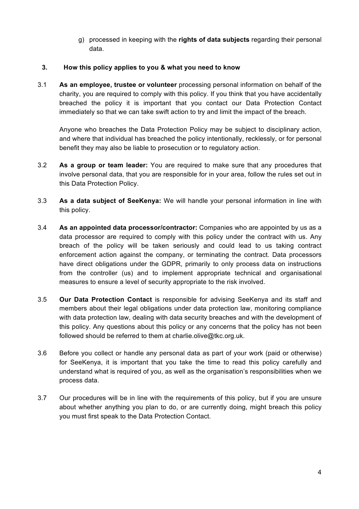g) processed in keeping with the **rights of data subjects** regarding their personal data.

#### **3. How this policy applies to you & what you need to know**

3.1 **As an employee, trustee or volunteer** processing personal information on behalf of the charity, you are required to comply with this policy. If you think that you have accidentally breached the policy it is important that you contact our Data Protection Contact immediately so that we can take swift action to try and limit the impact of the breach.

Anyone who breaches the Data Protection Policy may be subject to disciplinary action, and where that individual has breached the policy intentionally, recklessly, or for personal benefit they may also be liable to prosecution or to regulatory action.

- 3.2 **As a group or team leader:** You are required to make sure that any procedures that involve personal data, that you are responsible for in your area, follow the rules set out in this Data Protection Policy.
- 3.3 **As a data subject of SeeKenya:** We will handle your personal information in line with this policy.
- 3.4 **As an appointed data processor/contractor:** Companies who are appointed by us as a data processor are required to comply with this policy under the contract with us. Any breach of the policy will be taken seriously and could lead to us taking contract enforcement action against the company, or terminating the contract. Data processors have direct obligations under the GDPR, primarily to only process data on instructions from the controller (us) and to implement appropriate technical and organisational measures to ensure a level of security appropriate to the risk involved.
- 3.5 **Our Data Protection Contact** is responsible for advising SeeKenya and its staff and members about their legal obligations under data protection law, monitoring compliance with data protection law, dealing with data security breaches and with the development of this policy. Any questions about this policy or any concerns that the policy has not been followed should be referred to them at charlie.olive@tkc.org.uk.
- 3.6 Before you collect or handle any personal data as part of your work (paid or otherwise) for SeeKenya, it is important that you take the time to read this policy carefully and understand what is required of you, as well as the organisation's responsibilities when we process data.
- 3.7 Our procedures will be in line with the requirements of this policy, but if you are unsure about whether anything you plan to do, or are currently doing, might breach this policy you must first speak to the Data Protection Contact.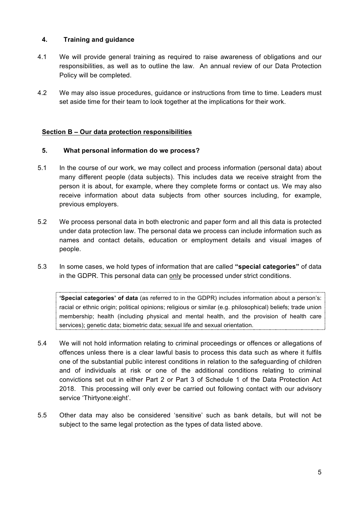# **4. Training and guidance**

- 4.1 We will provide general training as required to raise awareness of obligations and our responsibilities, as well as to outline the law. An annual review of our Data Protection Policy will be completed.
- 4.2 We may also issue procedures, guidance or instructions from time to time. Leaders must set aside time for their team to look together at the implications for their work.

# **Section B – Our data protection responsibilities**

#### **5. What personal information do we process?**

- 5.1 In the course of our work, we may collect and process information (personal data) about many different people (data subjects). This includes data we receive straight from the person it is about, for example, where they complete forms or contact us. We may also receive information about data subjects from other sources including, for example, previous employers.
- 5.2 We process personal data in both electronic and paper form and all this data is protected under data protection law. The personal data we process can include information such as names and contact details, education or employment details and visual images of people.
- 5.3 In some cases, we hold types of information that are called **"special categories"** of data in the GDPR. This personal data can only be processed under strict conditions.

**'Special categories' of data** (as referred to in the GDPR) includes information about a person's: racial or ethnic origin; political opinions; religious or similar (e.g. philosophical) beliefs; trade union membership; health (including physical and mental health, and the provision of health care services); genetic data; biometric data; sexual life and sexual orientation.

- 5.4 We will not hold information relating to criminal proceedings or offences or allegations of offences unless there is a clear lawful basis to process this data such as where it fulfils one of the substantial public interest conditions in relation to the safeguarding of children and of individuals at risk or one of the additional conditions relating to criminal convictions set out in either Part 2 or Part 3 of Schedule 1 of the Data Protection Act 2018. This processing will only ever be carried out following contact with our advisory service 'Thirtyone:eight'.
- 5.5 Other data may also be considered 'sensitive' such as bank details, but will not be subject to the same legal protection as the types of data listed above.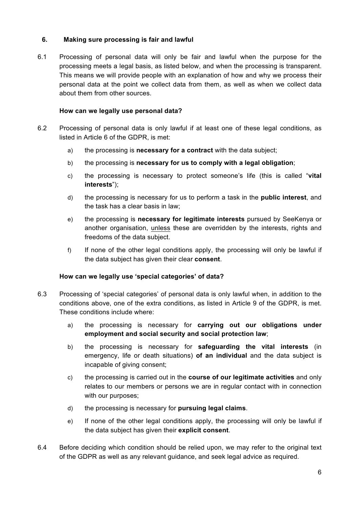# **6. Making sure processing is fair and lawful**

6.1 Processing of personal data will only be fair and lawful when the purpose for the processing meets a legal basis, as listed below, and when the processing is transparent. This means we will provide people with an explanation of how and why we process their personal data at the point we collect data from them, as well as when we collect data about them from other sources.

#### **How can we legally use personal data?**

- 6.2 Processing of personal data is only lawful if at least one of these legal conditions, as listed in Article 6 of the GDPR, is met:
	- a) the processing is **necessary for a contract** with the data subject;
	- b) the processing is **necessary for us to comply with a legal obligation**;
	- c) the processing is necessary to protect someone's life (this is called "**vital interests**");
	- d) the processing is necessary for us to perform a task in the **public interest**, and the task has a clear basis in law;
	- e) the processing is **necessary for legitimate interests** pursued by SeeKenya or another organisation, unless these are overridden by the interests, rights and freedoms of the data subject.
	- f) If none of the other legal conditions apply, the processing will only be lawful if the data subject has given their clear **consent**.

#### **How can we legally use 'special categories' of data?**

- 6.3 Processing of 'special categories' of personal data is only lawful when, in addition to the conditions above, one of the extra conditions, as listed in Article 9 of the GDPR, is met. These conditions include where:
	- a) the processing is necessary for **carrying out our obligations under employment and social security and social protection law**;
	- b) the processing is necessary for **safeguarding the vital interests** (in emergency, life or death situations) **of an individual** and the data subject is incapable of giving consent;
	- c) the processing is carried out in the **course of our legitimate activities** and only relates to our members or persons we are in regular contact with in connection with our purposes;
	- d) the processing is necessary for **pursuing legal claims**.
	- e) If none of the other legal conditions apply, the processing will only be lawful if the data subject has given their **explicit consent**.
- 6.4 Before deciding which condition should be relied upon, we may refer to the original text of the GDPR as well as any relevant guidance, and seek legal advice as required.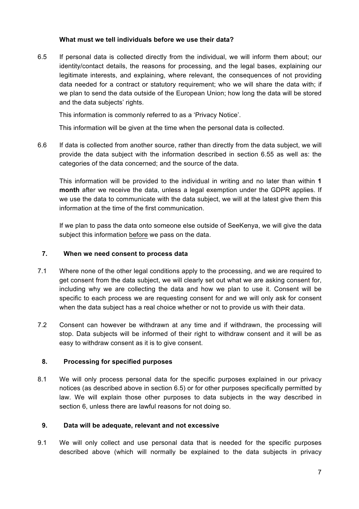## **What must we tell individuals before we use their data?**

6.5 If personal data is collected directly from the individual, we will inform them about; our identity/contact details, the reasons for processing, and the legal bases, explaining our legitimate interests, and explaining, where relevant, the consequences of not providing data needed for a contract or statutory requirement; who we will share the data with; if we plan to send the data outside of the European Union; how long the data will be stored and the data subjects' rights.

This information is commonly referred to as a 'Privacy Notice'.

This information will be given at the time when the personal data is collected.

6.6 If data is collected from another source, rather than directly from the data subject, we will provide the data subject with the information described in section 6.55 as well as: the categories of the data concerned; and the source of the data.

This information will be provided to the individual in writing and no later than within **1 month** after we receive the data, unless a legal exemption under the GDPR applies. If we use the data to communicate with the data subject, we will at the latest give them this information at the time of the first communication.

If we plan to pass the data onto someone else outside of SeeKenya, we will give the data subject this information before we pass on the data.

# **7. When we need consent to process data**

- 7.1 Where none of the other legal conditions apply to the processing, and we are required to get consent from the data subject, we will clearly set out what we are asking consent for, including why we are collecting the data and how we plan to use it. Consent will be specific to each process we are requesting consent for and we will only ask for consent when the data subject has a real choice whether or not to provide us with their data.
- 7.2 Consent can however be withdrawn at any time and if withdrawn, the processing will stop. Data subjects will be informed of their right to withdraw consent and it will be as easy to withdraw consent as it is to give consent.

#### **8. Processing for specified purposes**

8.1 We will only process personal data for the specific purposes explained in our privacy notices (as described above in section 6.5) or for other purposes specifically permitted by law. We will explain those other purposes to data subjects in the way described in section 6, unless there are lawful reasons for not doing so.

#### **9. Data will be adequate, relevant and not excessive**

9.1 We will only collect and use personal data that is needed for the specific purposes described above (which will normally be explained to the data subjects in privacy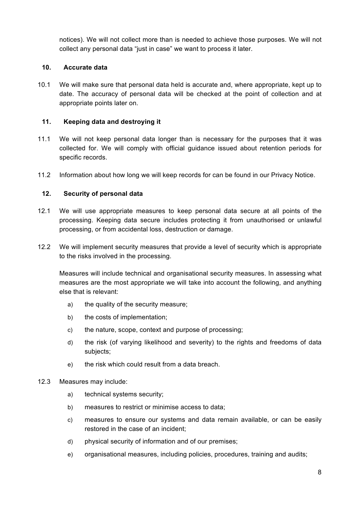notices). We will not collect more than is needed to achieve those purposes. We will not collect any personal data "just in case" we want to process it later.

# **10. Accurate data**

10.1 We will make sure that personal data held is accurate and, where appropriate, kept up to date. The accuracy of personal data will be checked at the point of collection and at appropriate points later on.

# **11. Keeping data and destroying it**

- 11.1 We will not keep personal data longer than is necessary for the purposes that it was collected for. We will comply with official guidance issued about retention periods for specific records.
- 11.2 Information about how long we will keep records for can be found in our Privacy Notice.

# **12. Security of personal data**

- 12.1 We will use appropriate measures to keep personal data secure at all points of the processing. Keeping data secure includes protecting it from unauthorised or unlawful processing, or from accidental loss, destruction or damage.
- 12.2 We will implement security measures that provide a level of security which is appropriate to the risks involved in the processing.

Measures will include technical and organisational security measures. In assessing what measures are the most appropriate we will take into account the following, and anything else that is relevant:

- a) the quality of the security measure;
- b) the costs of implementation;
- c) the nature, scope, context and purpose of processing;
- d) the risk (of varying likelihood and severity) to the rights and freedoms of data subjects;
- e) the risk which could result from a data breach.

#### 12.3 Measures may include:

- a) technical systems security;
- b) measures to restrict or minimise access to data;
- c) measures to ensure our systems and data remain available, or can be easily restored in the case of an incident;
- d) physical security of information and of our premises;
- e) organisational measures, including policies, procedures, training and audits;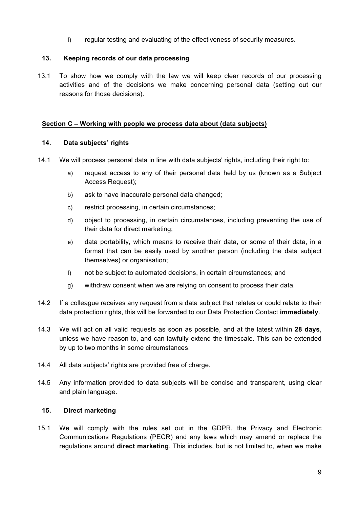f) regular testing and evaluating of the effectiveness of security measures.

# **13. Keeping records of our data processing**

13.1 To show how we comply with the law we will keep clear records of our processing activities and of the decisions we make concerning personal data (setting out our reasons for those decisions).

# **Section C – Working with people we process data about (data subjects)**

# **14. Data subjects' rights**

- 14.1 We will process personal data in line with data subjects' rights, including their right to:
	- a) request access to any of their personal data held by us (known as a Subject Access Request);
	- b) ask to have inaccurate personal data changed;
	- c) restrict processing, in certain circumstances;
	- d) object to processing, in certain circumstances, including preventing the use of their data for direct marketing;
	- e) data portability, which means to receive their data, or some of their data, in a format that can be easily used by another person (including the data subject themselves) or organisation;
	- f) not be subject to automated decisions, in certain circumstances; and
	- g) withdraw consent when we are relying on consent to process their data.
- 14.2 If a colleague receives any request from a data subject that relates or could relate to their data protection rights, this will be forwarded to our Data Protection Contact **immediately**.
- 14.3 We will act on all valid requests as soon as possible, and at the latest within **28 days**, unless we have reason to, and can lawfully extend the timescale. This can be extended by up to two months in some circumstances.
- 14.4 All data subjects' rights are provided free of charge.
- 14.5 Any information provided to data subjects will be concise and transparent, using clear and plain language.

# **15. Direct marketing**

15.1 We will comply with the rules set out in the GDPR, the Privacy and Electronic Communications Regulations (PECR) and any laws which may amend or replace the regulations around **direct marketing**. This includes, but is not limited to, when we make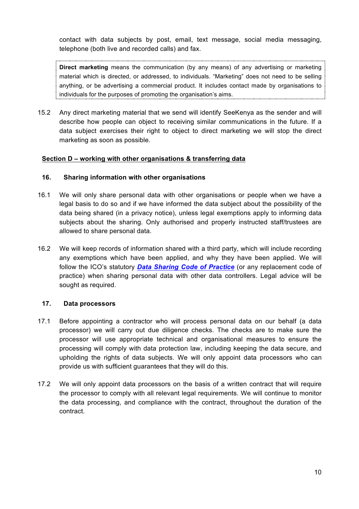contact with data subjects by post, email, text message, social media messaging, telephone (both live and recorded calls) and fax.

**Direct marketing** means the communication (by any means) of any advertising or marketing material which is directed, or addressed, to individuals. "Marketing" does not need to be selling anything, or be advertising a commercial product. It includes contact made by organisations to individuals for the purposes of promoting the organisation's aims.

15.2 Any direct marketing material that we send will identify SeeKenya as the sender and will describe how people can object to receiving similar communications in the future. If a data subject exercises their right to object to direct marketing we will stop the direct marketing as soon as possible.

# **Section D – working with other organisations & transferring data**

#### **16. Sharing information with other organisations**

- 16.1 We will only share personal data with other organisations or people when we have a legal basis to do so and if we have informed the data subject about the possibility of the data being shared (in a privacy notice), unless legal exemptions apply to informing data subjects about the sharing. Only authorised and properly instructed staff/trustees are allowed to share personal data.
- 16.2 We will keep records of information shared with a third party, which will include recording any exemptions which have been applied, and why they have been applied. We will follow the ICO's statutory *Data Sharing Code of Practice* (or any replacement code of practice) when sharing personal data with other data controllers. Legal advice will be sought as required.

#### **17. Data processors**

- 17.1 Before appointing a contractor who will process personal data on our behalf (a data processor) we will carry out due diligence checks. The checks are to make sure the processor will use appropriate technical and organisational measures to ensure the processing will comply with data protection law, including keeping the data secure, and upholding the rights of data subjects. We will only appoint data processors who can provide us with sufficient guarantees that they will do this.
- 17.2 We will only appoint data processors on the basis of a written contract that will require the processor to comply with all relevant legal requirements. We will continue to monitor the data processing, and compliance with the contract, throughout the duration of the contract.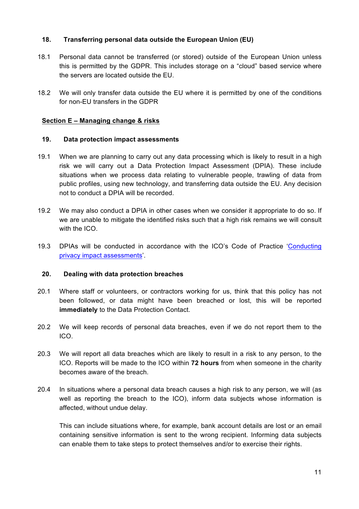# **18. Transferring personal data outside the European Union (EU)**

- 18.1 Personal data cannot be transferred (or stored) outside of the European Union unless this is permitted by the GDPR. This includes storage on a "cloud" based service where the servers are located outside the EU.
- 18.2 We will only transfer data outside the EU where it is permitted by one of the conditions for non-EU transfers in the GDPR

# **Section E – Managing change & risks**

#### **19. Data protection impact assessments**

- 19.1 When we are planning to carry out any data processing which is likely to result in a high risk we will carry out a Data Protection Impact Assessment (DPIA). These include situations when we process data relating to vulnerable people, trawling of data from public profiles, using new technology, and transferring data outside the EU. Any decision not to conduct a DPIA will be recorded.
- 19.2 We may also conduct a DPIA in other cases when we consider it appropriate to do so. If we are unable to mitigate the identified risks such that a high risk remains we will consult with the ICO.
- 19.3 DPIAs will be conducted in accordance with the ICO's Code of Practice 'Conducting privacy impact assessments'.

#### **20. Dealing with data protection breaches**

- 20.1 Where staff or volunteers, or contractors working for us, think that this policy has not been followed, or data might have been breached or lost, this will be reported **immediately** to the Data Protection Contact.
- 20.2 We will keep records of personal data breaches, even if we do not report them to the ICO.
- 20.3 We will report all data breaches which are likely to result in a risk to any person, to the ICO. Reports will be made to the ICO within **72 hours** from when someone in the charity becomes aware of the breach.
- 20.4 In situations where a personal data breach causes a high risk to any person, we will (as well as reporting the breach to the ICO), inform data subjects whose information is affected, without undue delay.

This can include situations where, for example, bank account details are lost or an email containing sensitive information is sent to the wrong recipient. Informing data subjects can enable them to take steps to protect themselves and/or to exercise their rights.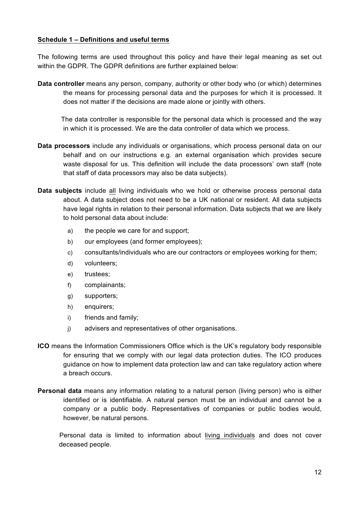## **Schedule 1 – Definitions and useful terms**

The following terms are used throughout this policy and have their legal meaning as set out within the GDPR. The GDPR definitions are further explained below:

**Data controller** means any person, company, authority or other body who (or which) determines the means for processing personal data and the purposes for which it is processed. It does not matter if the decisions are made alone or jointly with others.

The data controller is responsible for the personal data which is processed and the way in which it is processed. We are the data controller of data which we process.

- **Data processors** include any individuals or organisations, which process personal data on our behalf and on our instructions e.g. an external organisation which provides secure waste disposal for us. This definition will include the data processors' own staff (note that staff of data processors may also be data subjects).
- **Data subjects** include all living individuals who we hold or otherwise process personal data about. A data subject does not need to be a UK national or resident. All data subjects have legal rights in relation to their personal information. Data subjects that we are likely to hold personal data about include:
	- a) the people we care for and support;
	- b) our employees (and former employees);
	- c) consultants/individuals who are our contractors or employees working for them;
	- d) volunteers;
	- e) trustees;
	- f) complainants;
	- g) supporters;
	- h) enquirers;
	- i) friends and family;
	- j) advisers and representatives of other organisations.
- **ICO** means the Information Commissioners Office which is the UK's regulatory body responsible for ensuring that we comply with our legal data protection duties. The ICO produces guidance on how to implement data protection law and can take regulatory action where a breach occurs.
- **Personal data** means any information relating to a natural person (living person) who is either identified or is identifiable. A natural person must be an individual and cannot be a company or a public body. Representatives of companies or public bodies would, however, be natural persons.

Personal data is limited to information about living individuals and does not cover deceased people.